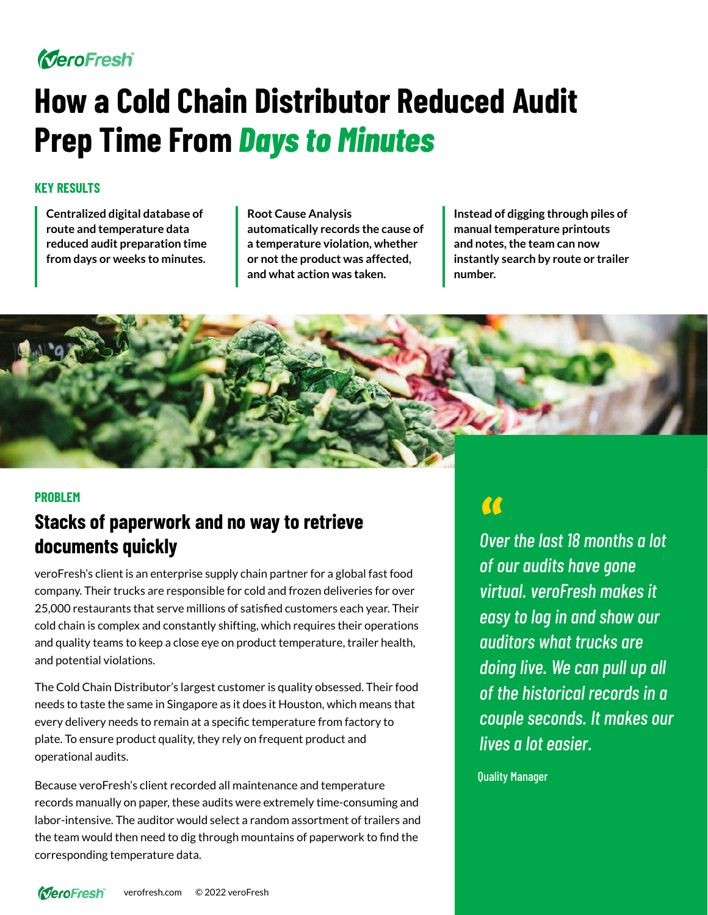# MeroFresh

# **How a Cold Chain Distributor Reduced Audit Prep Time From** *Days to Minutes*

#### **KEY RESULTS**

**Centralized digital database of route and temperature data reduced audit preparation time from days or weeks to minutes.**  **Root Cause Analysis automatically records the cause of a temperature violation, whether or not the product was affected, and what action was taken.**

**Instead of digging through piles of manual temperature printouts and notes, the team can now instantly search by route or trailer number.** 



#### **PROBLEM**

## **Stacks of paperwork and no way to retrieve documents quickly**

veroFresh's client is an enterprise supply chain partner for a global fast food company. Their trucks are responsible for cold and frozen deliveries for over 25,000 restaurants that serve millions of satisfied customers each year. Their cold chain is complex and constantly shifting, which requires their operations and quality teams to keep a close eye on product temperature, trailer health, and potential violations.

The Cold Chain Distributor's largest customer is quality obsessed. Their food needs to taste the same in Singapore as it does it Houston, which means that every delivery needs to remain at a specific temperature from factory to plate. To ensure product quality, they rely on frequent product and operational audits.

Because veroFresh's client recorded all maintenance and temperature records manually on paper, these audits were extremely time-consuming and labor-intensive. The auditor would select a random assortment of trailers and the team would then need to dig through mountains of paperwork to find the corresponding temperature data.

*Over the last 18 months a lot*  " *of our audits have gone virtual. veroFresh makes it easy to log in and show our auditors what trucks are doing live. We can pull up all of the historical records in a couple seconds. It makes our lives a lot easier.*

Quality Manager